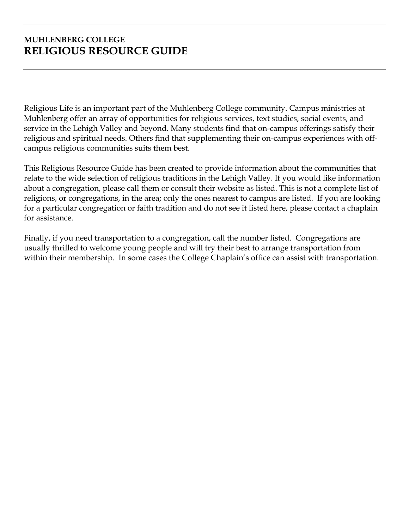# **MUHLENBERG COLLEGE RELIGIOUS RESOURCE GUIDE**

Religious Life is an important part of the Muhlenberg College community. Campus ministries at Muhlenberg offer an array of opportunities for religious services, text studies, social events, and service in the Lehigh Valley and beyond. Many students find that on-campus offerings satisfy their religious and spiritual needs. Others find that supplementing their on-campus experiences with offcampus religious communities suits them best.

This Religious Resource Guide has been created to provide information about the communities that relate to the wide selection of religious traditions in the Lehigh Valley. If you would like information about a congregation, please call them or consult their website as listed. This is not a complete list of religions, or congregations, in the area; only the ones nearest to campus are listed. If you are looking for a particular congregation or faith tradition and do not see it listed here, please contact a chaplain for assistance.

Finally, if you need transportation to a congregation, call the number listed. Congregations are usually thrilled to welcome young people and will try their best to arrange transportation from within their membership. In some cases the College Chaplain's office can assist with transportation.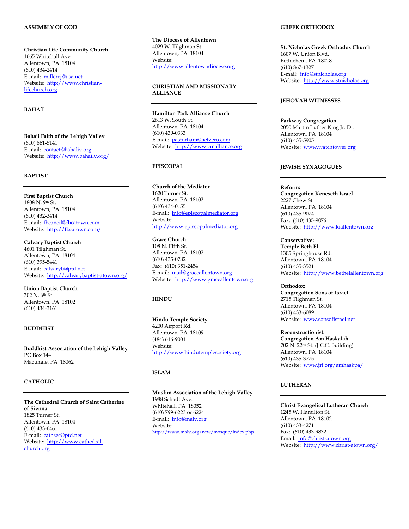## **ASSEMBLY OF GOD**

**Christian Life Community Church** 1665 Whitehall Ave. Allentown, PA 18104 (610) 434-2414 E-mail: [millerej@usa.net](mailto:millerej@usa.net) Website: [http://www.christian](http://www.christian-lifechurch.org/)[lifechurch.org](http://www.christian-lifechurch.org/)

# **BAHA'I**

**Baha'i Faith of the Lehigh Valley** (610) 861-5141 E-mail: [contact@bahaliv.org](mailto:contact@bahaliv.org) Website:<http://www.bahailv.org/>

# **BAPTIST**

**First Baptist Church** 1808 N. 9th St. Allentown, PA 18104 (610) 432-3414 E-mail: [fbcaneil@fbcatown.com](mailto:fbcaneil@fbcatown.com) Website:<http://fbcatown.com/>

**Calvary Baptist Church** 4601 Tilghman St. Allentown, PA 18104 (610) 395-5441 E-mail: [calvaryb@ptd.net](mailto:calvaryb@ptd.net) Website:<http://calvarybaptist-atown.org/>

**Union Baptist Church**  $302$  N.  $6<sup>th</sup>$  St. Allentown, PA 18102 (610) 434-3161

#### **BUDDHIST**

**Buddhist Association of the Lehigh Valley** PO Box 144 Macungie, PA 18062

## **CATHOLIC**

**The Cathedral Church of Saint Catherine of Sienna** 1825 Turner St. Allentown, PA 18104 (610) 433-6461 E-mail: [cathsec@ptd.net](mailto:cathsec@ptd.net) Website: [http://www.cathedral](http://www.cathedral-church.org/)[church.org](http://www.cathedral-church.org/)

**The Diocese of Allentown** 4029 W. Tilghman St. Allentown, PA 18104 Website: [http://www.allentowndiocese.org](http://www.allentowndiocese.org/)

**CHRISTIAN AND MISSIONARY ALLIANCE**

**Hamilton Park Alliance Church** 2613 W. South St. Allentown, PA 18104 (610) 439-0333 E-mail: [pastorham@netzero.com](mailto:pastorham@netzero.com) Website: [http://www.cmalliance.org](http://www.cmalliance.org/)

# **EPISCOPAL**

**Church of the Mediator** 1620 Turner St. Allentown, PA 18102 (610) 434-0155 E-mail: [info@episcopalmediator.org](mailto:info@episcopalmediator.org) Website: [http://www.episcopalmediator.org](http://www.episcopalmediator.org/)

**Grace Church** 108 N. Fifth St. Allentown, PA 18102 (610) 435-0782 Fax: (610) 351-2454 E-mail: [mail@graceallentown.org](mailto:mail@graceallentown.org) Website: [http://www.graceallentown.org](http://www.graceallentown.org/)

# **HINDU**

**Hindu Temple Society** 4200 Airport Rd. Allentown, PA 18109 (484) 616-9001 Website: [http://www.hindutemplesociety.org](http://www.hindutemplesociety.org/)

## **ISLAM**

**Muslim Association of the Lehigh Valley** 1988 Schadt Ave. Whitehall, PA 18052 (610) 799-6223 or 6224 E-mail: [info@malv.org](mailto:info@malv.org) Website: <http://www.malv.org/new/mosque/index.php>

#### **GREEK ORTHODOX**

**St. Nicholas Greek Orthodox Church** 1607 W. Union Blvd. Bethlehem, PA 18018 (610) 867-1327 E-mail: [info@stnicholas.org](mailto:info@stnicholas.org) Website: [http://www.stnicholas.org](http://www.stnicholas.org/)

#### **JEHOVAH WITNESSES**

**Parkway Congregation** 2050 Martin Luther King Jr. Dr. Allentown, PA 18104 (610) 435-5905 Website: [www.watchtower.org](http://www.watchtower.org/)

#### **JEWISH SYNAGOGUES**

**Reform: Congregation Keneseth Israel** 2227 Chew St. Allentown, PA 18104 (610) 435-9074 Fax: (610) 435-9076 Website: [http://www.kiallentown.org](http://www.kiallentown.org/)

**Conservative: Temple Beth El** 1305 Springhouse Rd. Allentown, PA 18104 (610) 435-3521 Website: [http://www.bethelallentown.org](http://www.bethelallentown.org/)

#### **Orthodox:**

**Congregation Sons of Israel** 2715 Tilghman St. Allentown, PA 18104 (610) 433-6089 Website: [www.sonsofisrael.net](http://www.sonsofisrael.net/)

**Reconstructionist: Congregation Am Haskalah** 702 N. 22nd St. (J.C.C. Building) Allentown, PA 18104 (610) 435-3775 Website: [www.jrf.org/amhaskpa/](http://www.jrf.org/amhaskpa/)

# **LUTHERAN**

**Christ Evangelical Lutheran Church** 1245 W. Hamilton St. Allentown, PA 18102 (610) 433-4271 Fax: (610) 433-9832 Email: [info@christ-atown.org](mailto:info@christ-atown.org) Website:<http://www.christ-atown.org/>